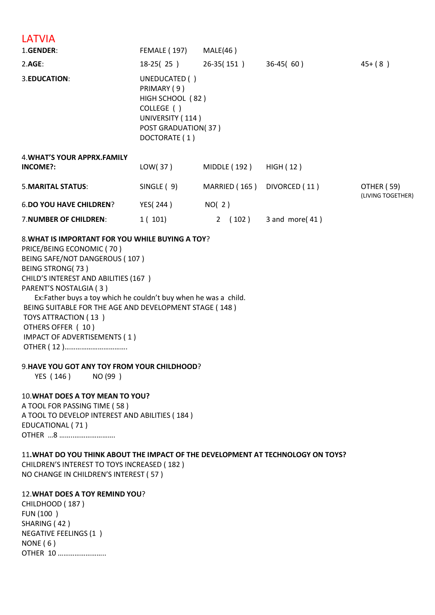# **LATVIA**

| 1.GENDER:                                      | FEMALE (197)                                                                                                               | MALE(46)             |                   |                                 |
|------------------------------------------------|----------------------------------------------------------------------------------------------------------------------------|----------------------|-------------------|---------------------------------|
| 2.AGE:                                         | 18-25(25)                                                                                                                  | 26-35(151)           | $36-45(60)$       | $45+ (8)$                       |
| 3.EDUCATION:                                   | UNEDUCATED ()<br>PRIMARY (9)<br>HIGH SCHOOL (82)<br>COLLEGE ()<br>UNIVERSITY (114)<br>POST GRADUATION(37)<br>DOCTORATE (1) |                      |                   |                                 |
| <b>4. WHAT'S YOUR APPRX.FAMILY</b><br>INCOME?: | LOW(37)                                                                                                                    | MIDDLE (192)         | HIGH (12)         |                                 |
| <b>5. MARITAL STATUS:</b>                      | SINGLE (9)                                                                                                                 | MARRIED (165)        | DIVORCED (11)     | OTHER (59)<br>(LIVING TOGETHER) |
| <b>6.DO YOU HAVE CHILDREN?</b>                 | YES(244)                                                                                                                   | NO(2)                |                   |                                 |
| 7. NUMBER OF CHILDREN:                         | 1(101)                                                                                                                     | (102)<br>$2^{\circ}$ | 3 and more $(41)$ |                                 |
|                                                |                                                                                                                            |                      |                   |                                 |

#### 8.**WHAT IS IMPORTANT FOR YOU WHILE BUYING A TOY**?

PRICE/BEING ECONOMIC ( 70 ) BEING SAFE/NOT DANGEROUS ( 107 ) BEING STRONG( 73 ) CHILD'S INTEREST AND ABILITIES (167 ) PARENT'S NOSTALGIA ( 3 ) Ex:Father buys a toy which he couldn't buy when he was a child. BEING SUITABLE FOR THE AGE AND DEVELOPMENT STAGE ( 148 ) TOYS ATTRACTION ( 13 ) OTHERS OFFER ( 10 ) IMPACT OF ADVERTISEMENTS ( 1 )

OTHER ( 12 )…………………………….

#### 9.**HAVE YOU GOT ANY TOY FROM YOUR CHILDHOOD**?

YES (146) NO (99)

# 10.**WHAT DOES A TOY MEAN TO YOU?**

A TOOL FOR PASSING TIME ( 58 ) A TOOL TO DEVELOP INTEREST AND ABILITIES ( 184 ) EDUCATIONAL ( 71 ) OTHER …8 ……..………………….

#### 11**.WHAT DO YOU THINK ABOUT THE IMPACT OF THE DEVELOPMENT AT TECHNOLOGY ON TOYS?**

CHILDREN'S INTEREST TO TOYS INCREASED ( 182 ) NO CHANGE IN CHILDREN'S INTEREST ( 57 )

#### 12.**WHAT DOES A TOY REMIND YOU**?

CHILDHOOD ( 187 ) FUN (100 ) SHARING ( 42 ) NEGATIVE FEELINGS (1 ) NONE ( 6 ) OTHER 10 ……………………..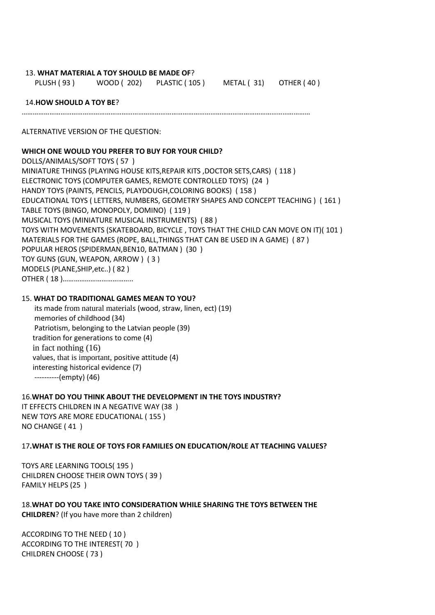#### 13. **WHAT MATERIAL A TOY SHOULD BE MADE OF**?

PLUSH ( 93 ) WOOD ( 202) PLASTIC ( 105 ) METAL ( 31) OTHER ( 40 )

#### 14.**HOW SHOULD A TOY BE**?

…………………………………………………………………………………………………………………………………………

ALTERNATIVE VERSION OF THE QUESTION:

#### **WHICH ONE WOULD YOU PREFER TO BUY FOR YOUR CHILD?**

DOLLS/ANIMALS/SOFT TOYS ( 57 ) MINIATURE THINGS (PLAYING HOUSE KITS,REPAIR KITS ,DOCTOR SETS,CARS) ( 118 ) ELECTRONIC TOYS (COMPUTER GAMES, REMOTE CONTROLLED TOYS) (24 ) HANDY TOYS (PAINTS, PENCILS, PLAYDOUGH,COLORING BOOKS) ( 158 ) EDUCATIONAL TOYS ( LETTERS, NUMBERS, GEOMETRY SHAPES AND CONCEPT TEACHING ) ( 161 ) TABLE TOYS (BINGO, MONOPOLY, DOMINO) ( 119 ) MUSICAL TOYS (MINIATURE MUSICAL INSTRUMENTS) ( 88 ) TOYS WITH MOVEMENTS (SKATEBOARD, BICYCLE , TOYS THAT THE CHILD CAN MOVE ON IT)( 101 ) MATERIALS FOR THE GAMES (ROPE, BALL,THINGS THAT CAN BE USED IN A GAME) ( 87 ) POPULAR HEROS (SPIDERMAN,BEN10, BATMAN ) (30 ) TOY GUNS (GUN, WEAPON, ARROW ) ( 3 ) MODELS (PLANE,SHIP,etc..) ( 82 ) OTHER ( 18 )………………………………..

## 15. **WHAT DO TRADITIONAL GAMES MEAN TO YOU?**

 its made from natural materials (wood, straw, linen, ect) (19) memories of childhood (34) Patriotism, belonging to the Latvian people (39) tradition for generations to come (4) in fact nothing (16) values, that is important, positive attitude (4) interesting historical evidence (7) ----------(empty) (46)

#### 16.**WHAT DO YOU THINK ABOUT THE DEVELOPMENT IN THE TOYS INDUSTRY?**

IT EFFECTS CHILDREN IN A NEGATIVE WAY (38 ) NEW TOYS ARE MORE EDUCATIONAL ( 155 ) NO CHANGE ( 41 )

#### 17**.WHAT IS THE ROLE OF TOYS FOR FAMILIES ON EDUCATION/ROLE AT TEACHING VALUES?**

TOYS ARE LEARNING TOOLS( 195 ) CHILDREN CHOOSE THEIR OWN TOYS ( 39 ) FAMILY HELPS (25 )

18.**WHAT DO YOU TAKE INTO CONSIDERATION WHILE SHARING THE TOYS BETWEEN THE CHILDREN**? (If you have more than 2 children)

ACCORDING TO THE NEED ( 10 ) ACCORDING TO THE INTEREST( 70 ) CHILDREN CHOOSE ( 73 )